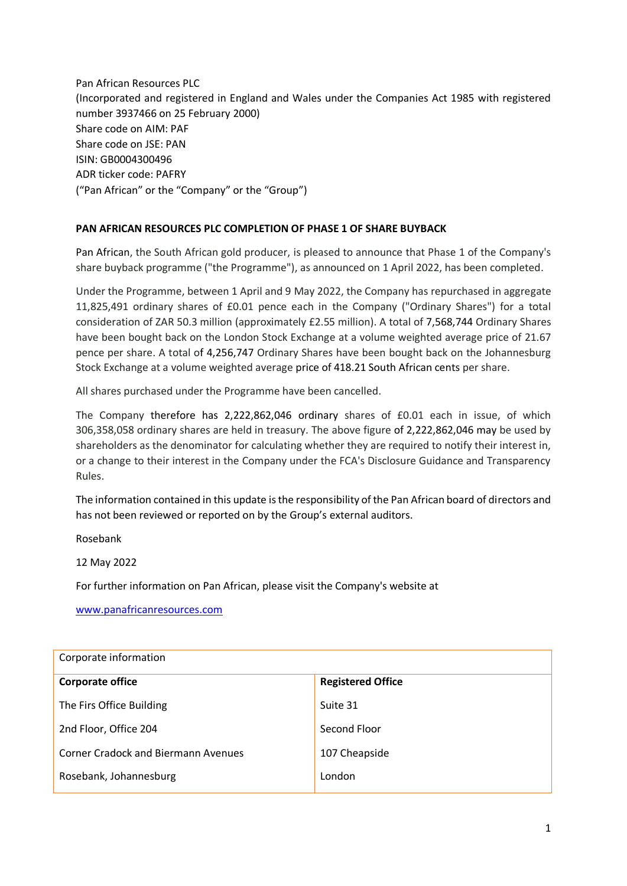Pan African Resources PLC (Incorporated and registered in England and Wales under the Companies Act 1985 with registered number 3937466 on 25 February 2000) Share code on AIM: PAF Share code on JSE: PAN ISIN: GB0004300496 ADR ticker code: PAFRY ("Pan African" or the "Company" or the "Group")

## **PAN AFRICAN RESOURCES PLC COMPLETION OF PHASE 1 OF SHARE BUYBACK**

Pan African, the South African gold producer, is pleased to announce that Phase 1 of the Company's share buyback programme ("the Programme"), as announced on 1 April 2022, has been completed.

Under the Programme, between 1 April and 9 May 2022, the Company has repurchased in aggregate 11,825,491 ordinary shares of £0.01 pence each in the Company ("Ordinary Shares") for a total consideration of ZAR 50.3 million (approximately £2.55 million). A total of 7,568,744 Ordinary Shares have been bought back on the London Stock Exchange at a volume weighted average price of 21.67 pence per share. A total of 4,256,747 Ordinary Shares have been bought back on the Johannesburg Stock Exchange at a volume weighted average price of 418.21 South African cents per share.

All shares purchased under the Programme have been cancelled.

The Company therefore has 2,222,862,046 ordinary shares of £0.01 each in issue, of which 306,358,058 ordinary shares are held in treasury. The above figure of 2,222,862,046 may be used by shareholders as the denominator for calculating whether they are required to notify their interest in, or a change to their interest in the Company under the FCA's Disclosure Guidance and Transparency Rules.

The information contained in this update is the responsibility of the Pan African board of directors and has not been reviewed or reported on by the Group's external auditors.

Rosebank

12 May 2022

For further information on Pan African, please visit the Company's website at

[www.panafricanresources.com](http://www.panafricanresources.com/)

| Corporate information                      |                          |  |
|--------------------------------------------|--------------------------|--|
| <b>Corporate office</b>                    | <b>Registered Office</b> |  |
| The Firs Office Building                   | Suite 31                 |  |
| 2nd Floor, Office 204                      | Second Floor             |  |
| <b>Corner Cradock and Biermann Avenues</b> | 107 Cheapside            |  |
| Rosebank, Johannesburg                     | London                   |  |